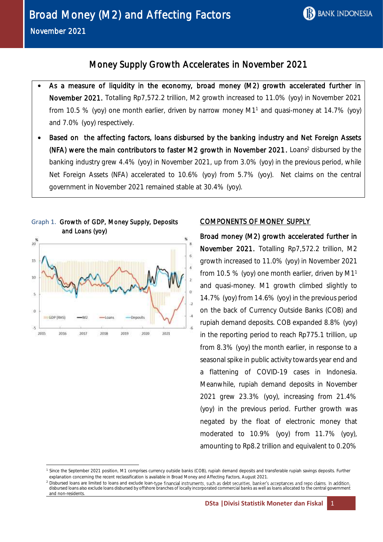# Money Supply Growth Accelerates in November 2021

- As a measure of liquidity in the economy, broad money (M2) growth accelerated further in November 2021. Totalling Rp7,572.2 trillion, M2 growth increased to 11.0% (yoy) in November 2021 from 10.5 % (yoy) one month earlier, driven by narrow money  $M1<sup>1</sup>$  and quasi-money at 14.7% (yoy) and 7.0% (yoy) respectively.
- Based on the affecting factors, loans disbursed by the banking industry and Net Foreign Assets (NFA) were the main contributors to faster M2 growth in November 2021. Loans<sup>2</sup> disbursed by the banking industry grew 4.4% (yoy) in November 2021, up from 3.0% (yoy) in the previous period, while Net Foreign Assets (NFA) accelerated to 10.6% (yoy) from 5.7% (yoy). Net claims on the central government in November 2021 remained stable at 30.4% (yoy).



Graph 1. Growth of GDP, Money Supply, Deposits

**.** 

# COMPONENTS OF MONEY SUPPLY

Broad money (M2) growth accelerated further in November 2021. Totalling Rp7,572.2 trillion, M2 growth increased to 11.0% (yoy) in November 2021 from 10.5 % (yoy) one month earlier, driven by M1<sup>1</sup> and quasi-money. M1 growth climbed slightly to 14.7% (yoy) from 14.6% (yoy) in the previous period on the back of Currency Outside Banks (COB) and rupiah demand deposits. COB expanded 8.8% (yoy) in the reporting period to reach Rp775.1 trillion, up from 8.3% (yoy) the month earlier, in response to a seasonal spike in public activity towards year end and a flattening of COVID-19 cases in Indonesia. Meanwhile, rupiah demand deposits in November 2021 grew 23.3% (yoy), increasing from 21.4% (yoy) in the previous period. Further growth was negated by the float of electronic money that moderated to 10.9% (yoy) from 11.7% (yoy), amounting to Rp8.2 trillion and equivalent to 0.20%

<sup>1</sup> Since the September 2021 position, M1 comprises currency outside banks (COB), rupiah demand deposits and transferable rupiah savings deposits. Further explanation concerning the recent reclassification is available in Broad Money and Affecting Factors, August 2021.

<sup>&</sup>lt;sup>2</sup> Disbursed loans are limited to loans and exclude loan-type financial instruments, such as debt securities, banker's acceptances and repo claims. In addition, disbursed loans also exclude loans disbursed by offshore branches of locally incorporated commercial banks as well as loans allocated to the central government and non-residents.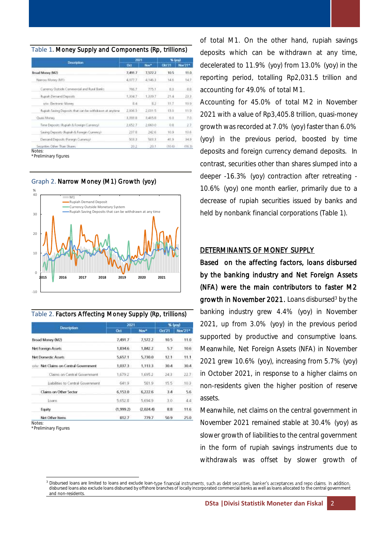#### Table 1. Money Supply and Components (Rp, trillions)

|                                                           | 2021       |         | % (you)      |         |  |
|-----------------------------------------------------------|------------|---------|--------------|---------|--|
| <b>Description</b>                                        | <b>Drt</b> | Nov*    | <b>CR121</b> | Nov 21* |  |
| Broad Money (M2)                                          | 7,491.7    | 7,572.2 | 10.5         | 11.0    |  |
| Narrow Money (M1).                                        | 4,077.7    | 4.146.3 | 14.6         | 14.7    |  |
| Currency Outside Commercial and Rural Banks.              | 766.7      | 775.1   | 歌る           | $-8.8$  |  |
| Rupish Demand Deposits                                    | 1,304.7    | 1,339.7 | 21.4         | 23.3    |  |
| ww. Eechanic Money                                        | 8.4        | 前定日     | 11.7         | 10.9    |  |
| flugiah Saving Depocits that can be withdrawn at anytime- | 2,006.3    | 2,031.5 | $-13.0$      | 11.9    |  |
| Quixi Money                                               | 1.891.8    | 3,405.8 | <b>B</b> 8   | 江应      |  |
| Time Deposits (Rupiah & Foreign Currency).                | 2.652.7    | 2,660.0 | 10.8         | 27      |  |
| Swing Deposits (Ruptah & Foregin Currency)                | 297.6      | 242.6   | 10.9         | 10.6    |  |
| Dwmand Deposits (Foreign Currency)                        | 5033       | 503.3   | 41.9         | 34.9    |  |
| Securities Other Than Shares                              | 20.2       | $-20.1$ | (10.6)       | (16.3)  |  |

\*Preliminary figures





Table 2. Factors Affecting Money Supply (Rp, trillions)

|                                       | 2021       | % (yoy)   |               |         |  |
|---------------------------------------|------------|-----------|---------------|---------|--|
| <b>Description</b>                    | <b>Oct</b> | Nov*      | <b>Oct 21</b> | Nov'21* |  |
| Broad Money (M2)                      | 7,491.7    | 7,572.2   | 10.5          | 11.0    |  |
| <b>Net Foreign Assets</b>             | 1,834.6    | 1,842.2   | 5.7           | 10.6    |  |
| Net Domestic Assets                   | 5,657.1    | 5,730.0   | 12.1          | 11.1    |  |
| o/w: Net Claims on Central Government | 1,037.3    | 1,113.3   | 30.4          | 30.4    |  |
| Claims on Central Government          | 1,679.2    | 1.695.2   | 243           | 22.7    |  |
| Liabilities to Central Government     | 641.9      | 581.9     | 155           | .103    |  |
| Claims on Other Sector                | 6,153.0    | 6,222.6   | 3.4           | 5.6     |  |
| Loans:                                | 5.652.8    | 5,694.9   | 3.0.          | 4.4     |  |
| Equity                                | (1,999.2)  | (2,024.4) | 8.8           | 11.6    |  |
| Net Other Items                       | 812.7      | 779.7     | 50.9          | 25.0    |  |

**Notes** 

\*Preliminary Figures

**.** 

of total M1. On the other hand, rupiah savings deposits which can be withdrawn at any time, decelerated to 11.9% (yoy) from 13.0% (yoy) in the reporting period, totalling Rp2,031.5 trillion and accounting for 49.0% of total M1.

Accounting for 45.0% of total M2 in November 2021 with a value of Rp3,405.8 trillion, quasi-money growth was recorded at 7.0% (yoy) faster than 6.0% (yoy) in the previous period, boosted by time deposits and foreign currency demand deposits. In contrast, securities other than shares slumped into a deeper -16.3% (yoy) contraction after retreating - 10.6% (yoy) one month earlier, primarily due to a decrease of rupiah securities issued by banks and held by nonbank financial corporations (Table 1).

### DETERMINANTS OF MONEY SUPPLY

Based on the affecting factors, loans disbursed by the banking industry and Net Foreign Assets (NFA) were the main contributors to faster M2 growth in November 2021. Loans disbursed<sup>3</sup> by the banking industry grew 4.4% (yoy) in November 2021, up from 3.0% (yoy) in the previous period supported by productive and consumptive loans. Meanwhile, Net Foreign Assets (NFA) in November 2021 grew 10.6% (yoy), increasing from 5.7% (yoy) in October 2021, in response to a higher claims on non-residents given the higher position of reserve assets.

Meanwhile, net claims on the central government in November 2021 remained stable at 30.4% (yoy) as slower growth of liabilities to the central government in the form of rupiah savings instruments due to withdrawals was offset by slower growth of

<sup>&</sup>lt;sup>3</sup> Disbursed loans are limited to loans and exclude loan-type financial instruments, such as debt securities, banker's acceptances and repo claims. In addition, disbursed loans also exclude loans disbursed by offshore branches of locally incorporated commercial banks as well as loans allocated to the central government and non-residents.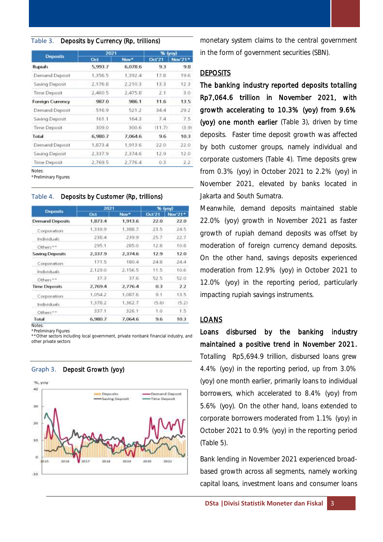#### Table 3. Deposits by Currency (Rp, trillions)

|                         | 2021    |                  | % (yoy) |         |  |  |
|-------------------------|---------|------------------|---------|---------|--|--|
| <b>Deposits</b>         | Oct     | Nov <sup>*</sup> | Oct'21  | Nov'21* |  |  |
| Rupiah                  | 5,993.7 | 6,078.6          | 93      | 9.8     |  |  |
| Demand Deposit          | 1,356.5 | 1.392.4          | 17.8    | 19.6    |  |  |
| Saving Deposit          | 2.176.8 | 2.210.3          | 13.3    | 12.3    |  |  |
| Time Deposit            | 2,460.5 | 2.475.8          | 2.1     | 3.0     |  |  |
| <b>Foreign Currency</b> | 987.0   | 986.1            | 11.6    | 13.5    |  |  |
| Demand Deposit          | 516.9   | 521.2            | 34.4    | 29.2    |  |  |
| Saving Deposit          | 161.1   | 164.3            | 7.4     | 7.5     |  |  |
| Time Deposit            | 309.0   | 300.6            | (11.7)  | (3.9)   |  |  |
| Total                   | 6,980.7 | 7.064.6          | 9.6     | 10.3    |  |  |
| Demand Deposit          | 1,873.4 | 1,913.6          | 22.0    | 22.0    |  |  |
| Saving Deposit          | 2.337.9 | 2,374.6          | 12.9    | 12.0    |  |  |
| Time Deposit            | 2.769.5 | 2,776.4          | 0.3     | 2.2     |  |  |

Notes:

\*Preliminary Figures

#### Table 4. Deposits by Customer (Rp, trillions)

|                        | 2021    |                  | % (yoy)       |         |  |  |
|------------------------|---------|------------------|---------------|---------|--|--|
| <b>Deposits</b>        | Oct     | Nov <sup>*</sup> | <b>Oct'21</b> | Nov'21* |  |  |
| <b>Demand Deposits</b> | 1,873.4 | 1,913.6          | 22.0          | 22.0    |  |  |
| Corporation            | 1,339.9 | 1,388.7          | 23.5.         | 24.5    |  |  |
| Individuals            | 238.4   | 239.9            | 25.7          | 22.7    |  |  |
| Others**               | 295.1   | 285.0            | 12.8          | 10.8    |  |  |
| <b>Saving Deposits</b> | 2,337.9 | 2,374.6          | 12.9          | 12.0    |  |  |
| Corporation            | 171.5   | 180.4            | 24.8          | 24.4    |  |  |
| <b>Individuals</b>     | 2.129.0 | 2.156.5          | 11.5          | 10.6    |  |  |
| Others <sup>**</sup>   | 37.3    | 37.6             | 52.5          | 52.0    |  |  |
| <b>Time Deposits</b>   | 2,769.4 | 2,776.4          | 0.3           | 22      |  |  |
| Corporation            | 1,054.2 | 1,087.6          | 9.1           | 13.5    |  |  |
| Individuals            | 1,378.2 | 1,362.7          | (5.6)         | (5.2)   |  |  |
| Others <sup>**</sup>   | 337.1   | 326.1            | 1.0           | 1.5     |  |  |
| Total                  | 6,980.7 | 7,064.6          | 9.6           | 10.3    |  |  |
| <b>ALC: UNK</b>        |         |                  |               |         |  |  |

**Notes** 

\*Preliminary Figures

\*\*Other sectors including local government, private nonbank financial industry, and other private sectors

#### Graph 3. Deposit Growth (yoy)



monetary system claims to the central government in the form of government securities (SBN).

#### **DEPOSITS**

The banking industry reported deposits totalling Rp7,064.6 trillion in November 2021, with growth accelerating to 10.3% (yoy) from 9.6% (yoy) one month earlier (Table 3), driven by time deposits. Faster time deposit growth was affected by both customer groups, namely individual and corporate customers (Table 4). Time deposits grew from 0.3% (yoy) in October 2021 to 2.2% (yoy) in November 2021, elevated by banks located in Jakarta and South Sumatra.

Meanwhile, demand deposits maintained stable 22.0% (yoy) growth in November 2021 as faster growth of rupiah demand deposits was offset by moderation of foreign currency demand deposits. On the other hand, savings deposits experienced moderation from 12.9% (yoy) in October 2021 to 12.0% (yoy) in the reporting period, particularly impacting rupiah savings instruments.

### LOANS

Loans disbursed by the banking industry maintained a positive trend in November 2021. Totalling Rp5,694.9 trillion, disbursed loans grew 4.4% (yoy) in the reporting period, up from 3.0% (yoy) one month earlier, primarily loans to individual borrowers, which accelerated to 8.4% (yoy) from 5.6% (yoy). On the other hand, loans extended to corporate borrowers moderated from 1.1% (yoy) in October 2021 to 0.9% (yoy) in the reporting period (Table 5).

Bank lending in November 2021 experienced broadbased growth across all segments, namely working capital loans, investment loans and consumer loans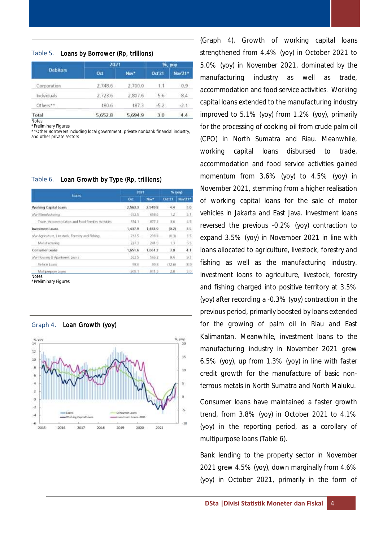#### Table 5. Loans by Borrower (Rp, trillions)

|                    | 2021    |         | %, yoy |         |  |  |
|--------------------|---------|---------|--------|---------|--|--|
| <b>Debitors</b>    | Oct     | Nov*    | Oct'21 | Nov'21* |  |  |
| Corporation        | 2,748.6 | 2,700.0 | 1.1    | 0.9.    |  |  |
| <b>Individuals</b> | 2,723.6 | 2,807.6 | 5.6    | 8.4     |  |  |
| Others**           | 180.6   | 187.3   | $-5.2$ | $-2.1$  |  |  |
| Total              | 5,652.8 | 5,694.9 | 3.0    | 4.4     |  |  |

**Notes** \*Preliminary Figures

\*\*Other Borrowers including local government, private nonbank financial industry, and other private sectors

#### Table 6. Loan Growth by Type (Rp, trillions)

| Loans                                              | 3021    | % (you)  |                  |         |  |
|----------------------------------------------------|---------|----------|------------------|---------|--|
|                                                    | Ort     | Nov*     | 0d <sub>71</sub> | Nov 21* |  |
| Working Capital Loams                              | 2,563.3 | 2,549.8  | 4.4              | 5.0     |  |
| o/w Manufacturing                                  | 6925    | 658.6    | $1.2^{\circ}$    | \$1     |  |
| Tricle, Accommodation and Food Services Activities | 874.1   | 877.2    | 3.6              | 4.5     |  |
| Investment Loans                                   | 1,437.9 | 1,483.9  | (0.2)            | 3.5     |  |
| olyv Agriculture, Livestock, Forestry wid Fishing. | 282.5   | 298.8    | 10.31            | 3.5     |  |
| Manufacturing                                      | 227.3   | 241.0    | 13               | 65      |  |
| <b>Consumer Loans</b>                              | 1,651.6 | 1.6612   | 3.8              | 4.1     |  |
| o/w Housing & Apartment Loans                      | 562.5   | 566.2    | 9.6              | 93      |  |
| Vehicle Luans                                      | 38.0    | 99.8     | (12.6)           | (8.9)   |  |
| Multipurpose Loans                                 | 908.1   | $-911.5$ | 2.8              | 3:0     |  |

\*Preliminary Figures



Graph 4. Loan Growth (yoy)

(Graph 4). Growth of working capital loans strengthened from 4.4% (yoy) in October 2021 to 5.0% (yoy) in November 2021, dominated by the manufacturing industry as well as trade, accommodation and food service activities. Working capital loans extended to the manufacturing industry improved to 5.1% (yoy) from 1.2% (yoy), primarily for the processing of cooking oil from crude palm oil (CPO) in North Sumatra and Riau. Meanwhile, working capital loans disbursed to trade, accommodation and food service activities gained momentum from 3.6% (yoy) to 4.5% (yoy) in November 2021, stemming from a higher realisation of working capital loans for the sale of motor vehicles in Jakarta and East Java. Investment loans reversed the previous -0.2% (yoy) contraction to expand 3.5% (yoy) in November 2021 in line with loans allocated to agriculture, livestock, forestry and fishing as well as the manufacturing industry. Investment loans to agriculture, livestock, forestry and fishing charged into positive territory at 3.5% (yoy) after recording a -0.3% (yoy) contraction in the previous period, primarily boosted by loans extended for the growing of palm oil in Riau and East Kalimantan. Meanwhile, investment loans to the manufacturing industry in November 2021 grew 6.5% (yoy), up from 1.3% (yoy) in line with faster credit growth for the manufacture of basic nonferrous metals in North Sumatra and North Maluku.

Consumer loans have maintained a faster growth trend, from 3.8% (yoy) in October 2021 to 4.1% (yoy) in the reporting period, as a corollary of multipurpose loans (Table 6).

Bank lending to the property sector in November 2021 grew 4.5% (yoy), down marginally from 4.6% (yoy) in October 2021, primarily in the form of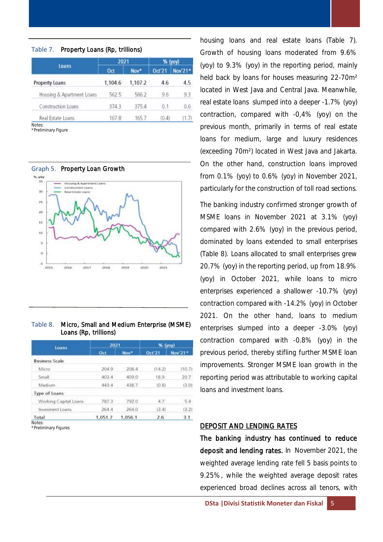|                             | 2021    |         | % (yoy)       |         |  |
|-----------------------------|---------|---------|---------------|---------|--|
| loans                       | Oct     | Nov*    | 0d'21         | Nov'21* |  |
| Property Loans              | 1,104.6 | 1,107.2 | 4.6           | 4.5     |  |
| Housing & Apartment Loans   | 562.5   | 566.2   | $9.6^{\circ}$ | 9.3     |  |
| Construction Loans          | 374.3   | 375.4   | 0.1           | 0.6     |  |
| Real Estate Loans<br>Notes: | 167.8   | 165.7   | (0.4)         | (1, I)  |  |

\*Preliminary Figure

2015

2016

 $2013$ 

Graph 5. Property Loan Growth 35  $\overline{30}$ *<u>in al Fishate</u>* Coal 25  $\overline{20}$  $\overline{15}$ i0 i. ø

#### Table 8. Micro, Small and Medium Enterprise (MSME) Loans (Rp, trillions)

2019

2021

2020

| Loans                 | 2021    |         | $%$ (yoy) |         |  |  |
|-----------------------|---------|---------|-----------|---------|--|--|
|                       | Oct     | Nov*    | Oct'21    | Nov 21* |  |  |
| <b>Business Scale</b> |         |         |           |         |  |  |
| Micro-                | 204.9   | 208.4   | (14.2)    | (10.7)  |  |  |
| Small                 | 403.4   | 409.0   | 18.9      | 20.7    |  |  |
| Medium                | 443.4   | 438.7   | (0.8)     | (3.0)   |  |  |
| Type of Loans         |         |         |           |         |  |  |
| Working Capital Loans | 787.3   | 792.0   | 4.7       | 5.4     |  |  |
| Invesment Loans       | 264.4   | 264.0   | (3.4)     | (3.2)   |  |  |
| Total                 | 1,051.7 | 1,056.1 | 2.6       | 3.1     |  |  |

\*Preliminary Figures

housing loans and real estate loans (Table 7). Growth of housing loans moderated from 9.6% (yoy) to 9.3% (yoy) in the reporting period, mainly held back by loans for houses measuring 22-70m² located in West Java and Central Java. Meanwhile, real estate loans slumped into a deeper -1.7% (yoy) contraction, compared with -0,4% (yoy) on the previous month, primarily in terms of real estate loans for medium, large and luxury residences (exceeding 70m²) located in West Java and Jakarta. On the other hand, construction loans improved from 0.1% (yoy) to 0.6% (yoy) in November 2021, particularly for the construction of toll road sections.

The banking industry confirmed stronger growth of MSME loans in November 2021 at 3.1% (yoy) compared with 2.6% (yoy) in the previous period, dominated by loans extended to small enterprises (Table 8). Loans allocated to small enterprises grew 20.7% (yoy) in the reporting period, up from 18.9% (yoy) in October 2021, while loans to micro enterprises experienced a shallower -10.7% (yoy) contraction compared with -14.2% (yoy) in October 2021. On the other hand, loans to medium enterprises slumped into a deeper -3.0% (yoy) contraction compared with -0.8% (yoy) in the previous period, thereby stifling further MSME loan improvements. Stronger MSME loan growth in the reporting period was attributable to working capital loans and investment loans.

### DEPOSIT AND LENDING RATES

The banking industry has continued to reduce deposit and lending rates. In November 2021, the weighted average lending rate fell 5 basis points to 9.25%, while the weighted average deposit rates experienced broad declines across all tenors, with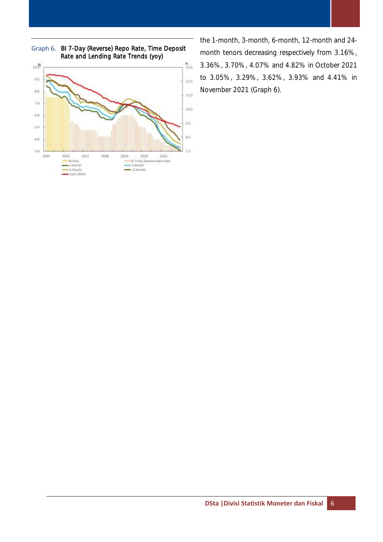

Graph 6. BI 7-Day (Reverse) Repo Rate, Time Deposit Rate and Lending Rate Trends (yoy)

the 1-month, 3-month, 6-month, 12-month and 24 month tenors decreasing respectively from 3.16%, 3.36%, 3.70%, 4.07% and 4.82% in October 2021 to 3.05%, 3.29%, 3.62%, 3.93% and 4.41% in November 2021 (Graph 6).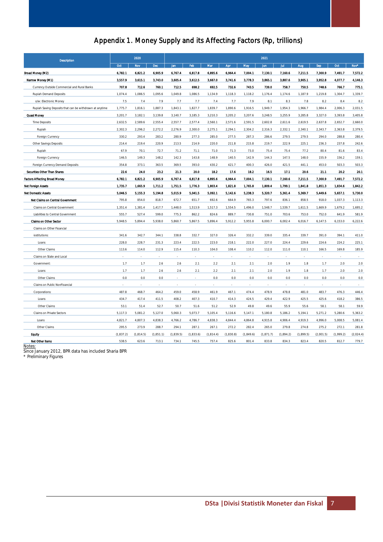# Appendix 1. Money Supply and its Affecting Factors (Rp, trillions)

| <b>Description</b>                                      |            | 2020       |            | 2021      |            |           |           |            |            |           |           |           |           |           |
|---------------------------------------------------------|------------|------------|------------|-----------|------------|-----------|-----------|------------|------------|-----------|-----------|-----------|-----------|-----------|
|                                                         | Oct        | <b>Nov</b> | <b>Dec</b> | Jan       | Feb        | Mar       | Apr       | May        | <b>Jun</b> | Jul       | Aug       | Sep       | Oct       | Nov*      |
| Broad Money (M2)                                        | 6,782.1    | 6,821.2    | 6,905.9    | 6,767.4   | 6,817.8    | 6,895.6   | 6,964.4   | 7,004.1    | 7,130.1    | 7,160.6   | 7,211.5   | 7,300.9   | 7,491.7   | 7,572.2   |
| Narrow Money (M1)                                       | 3,557.9    | 3,615.1    | 3,743.0    | 3,605.4   | 3,612.5    | 3,667.0   | 3,741.6   | 3,778.3    | 3,865.1    | 3,887.6   | 3,905.1   | 3,952.8   | 4,077.7   | 4,146.3   |
| Currency Outside Commercial and Rural Banks             | 707.8      | 712.6      | 760.1      | 712.5     | 698.2      | 692.5     | 732.6     | 743.5      | 739.0      | 758.7     | 750.5     | 748.6     | 766.7     | 775.1     |
| Rupiah Demand Deposits                                  | 1,074.4    | 1.086.5    | 1,095.6    | 1,049.8   | 1,086.5    | 1,134.9   | 1,118.3   | 1,118.2    | 1,176.4    | 1,174.6   | 1,187.9   | 1,219.8   | 1,304.7   | 1,339.7   |
| o/w: Electronic Money                                   | 7.5        | 7.4        | 7.9        | 7.7       | 7.7        | 7.4       | 7.7       | 7.9        | 8.1        | 8.3       | 7.8       | 8.2       | 8.4       | 8.2       |
| Ruplah Saving Deposits that can be withdrawn at anytime | 1,775.7    | 1,816.1    | 1,887.3    | 1,843.1   | 1,827.7    | 1,839.7   | 1,890.6   | 1,916.5    | 1,949.7    | 1,954.3   | 1,966.7   | 1,984.4   | 2,006.3   | 2,031.5   |
| Quasi Money                                             | 3,201.7    | 3,182.1    | 3,139.8    | 3,140.7   | 3,185.3    | 3,210.3   | 3,205.2   | 3,207.6    | 3,248.5    | 3,255.9   | 3,285.8   | 3,327.0   | 3,393.8   | 3,405.8   |
| <b>Time Deposits</b>                                    | 2,632.5    | 2,589.6    | 2,555.4    | 2,557.7   | 2,577.4    | 2,560.1   | 2,571.6   | 2,591.5    | 2,602.8    | 2,611.6   | 2,619.5   | 2,637.8   | 2,652.7   | 2,660.0   |
| Rupiah                                                  | 2,302.3    | 2,296.2    | 2,272.2    | 2,276.9   | 2,300.0    | 2,275.1   | 2,294.1   | 2,304.2    | 2,316.3    | 2,332.1   | 2,340.1   | 2,343.7   | 2,363.8   | 2,379.5   |
| Foreign Currency                                        | 330.2      | 293.4      | 283.2      | 280.9     | 277.3      | 285.0     | 277.5     | 287.3      | 286.6      | 279.5     | 279.5     | 294.0     | 288.8     | 280.4     |
| Other Savings Deposits                                  | 214.4      | 219.4      | 220.9      | 213.5     | 214.9      | 220.0     | 211.8     | 215.8      | 219.7      | 222.9     | 225.1     | 236.3     | 237.8     | 242.6     |
| Rupiah                                                  | 67.9       | 70.1       | 72.7       | 71.2      | 71.1       | 71.0      | 71.3      | 73.0       | 75.4       | 75.4      | 77.2      | 80.4      | 81.6      | 83.4      |
| Foreign Currency                                        | 146.5      | 149.3      | 148.2      | 142.3     | 143.8      | 148.9     | 140.5     | 142.9      | 144.3      | 147.5     | 148.0     | 155.9     | 156.2     | 159.1     |
| Foreign Currency Demand Deposits                        | 354.8      | 373.1      | 363.5      | 369.5     | 393.0      | 430.2     | 421.7     | 400.3      | 426.0      | 421.5     | 441.1     | 453.0     | 503.3     | 503.3     |
| Securities Other Than Shares                            | 22.6       | 24.0       | 23.2       | 21.3      | 20.0       | 18.2      | 17.6      | 18.2       | 16.5       | 17.1      | 20.6      | 21.1      | 20.2      | 20.1      |
| <b>Factors Affecting Broad Money</b>                    | 6.782.1    | 6,821.2    | 6,905.9    | 6,767.4   | 6,817.8    | 6,895.6   | 6.964.4   | 7.004.1    | 7.130.1    | 7.160.6   | 7.211.5   | 7,300.9   | 7.491.7   | 7,572.2   |
| <b>Net Foreign Assets</b>                               | 1,735.7    | 1,665.9    | 1,711.2    | 1,751.5   | 1,776.3    | 1,803.4   | 1,821.8   | 1,765.8    | 1,809.4    | 1.799.1   | 1,841.8   | 1,851.3   | 1,834.6   | 1,842.2   |
| <b>Net Domestic Assets</b>                              | 5,046.5    | 5,155.3    | 5,194.8    | 5,015.9   | 5,041.5    | 5.092.1   | 5,142.6   | 5,238.3    | 5,320.7    | 5,361.4   | 5,369.7   | 5,449.6   | 5,657.1   | 5.730.0   |
| Net Claims on Central Government                        | 795.8      | 854.0      | 818.7      | 672.7     | 651.7      | 692.6     | 664.9     | 765.3      | 797.6      | 836.1     | 858.5     | 918.0     | 1,037.3   | 1,113.3   |
| Claims on Central Government                            | 1,351.4    | 1,381.4    | 1,417.7    | 1,448.0   | 1,513.9    | 1,517.3   | 1,554.5   | 1,496.0    | 1,548.7    | 1.539.7   | 1,611.5   | 1,669.9   | 1,679.2   | 1,695.2   |
| Liabilities to Central Government                       | 555.7      | 527.4      | 599.0      | 775.3     | 862.2      | 824.6     | 889.7     | 730.8      | 751.0      | 703.6     | 753.0     | 752.0     | 641.9     | 581.9     |
| Claims on Other Sector                                  | 5,948.5    | 5,894.4    | 5,938.0    | 5,860.7   | 5,867.5    | 5,896.4   | 5,912.2   | 5,955.8    | 6,000.7    | 6,002.4   | 6,016.7   | 6,147.5   | 6,153.0   | 6,222.6   |
| Claims on Other Fioancial                               |            |            |            |           |            |           |           |            |            |           |           |           |           |           |
| jostitutions:                                           | 341.6      | 342.7      | 344.1      | 338.8     | 332.7      | 327.0     | 326.4     | 332.2      | 339.0      | 335.4     | 339.7     | 391.0     | 394.1     | 411.0     |
| Loans                                                   | 228.0      | 228.7      | 231.3      | 223.4     | 222.5      | 223.0     | 218.1     | 222.0      | 227.0      | 224.4     | 229.6     | 224.6     | 224.2     | 225.1     |
| Other Claims                                            | 113.6      | 114.0      | 112.9      | 115.4     | 110.3      | 104.0     | 108.4     | 110.2      | 112.0      | 111.0     | 110.1     | 166.5     | 169.8     | 185.9     |
| Claims on State and Local                               |            |            |            |           |            |           |           |            |            |           |           |           |           |           |
| Government:                                             | 1.7        | 1.7        | 2.6        | 2.6       | 2.1        | 2.2       | 2.1       | 2.1        | 2.0        | 1.9       | 1.8       | 1.7       | 2.0       | 2.0       |
| Loans                                                   | 1.7        | 1.7        | 2.6        | 2.6       | 2.1        | 2.2       | 2.1       | 2.1        | 2.0        | 1.9       | 1.8       | 1.7       | 2.0       | 2.0       |
| Other Claims                                            | 0.0        | 0.0        | 0.0        |           |            | 0.0       | 0.0       | 0.0        | 0.0        | 0.0       | 0.0       | 0.0       | 0.0       | 0.0       |
| Claims on Public NonFioancial                           |            |            |            |           |            |           |           |            |            |           |           |           |           |           |
| Corporations:                                           | 487.8      | 468.7      | 464.2      | 459.0     | 458.9      | 461.9     | 467.1     | 474.4      | 478.9      | 478.8     | 481.0     | 483.7     | 476.3     | 446.4     |
| Loans                                                   | 434.7      | 417.4      | 411.5      | 408.2     | 407.3      | 410.7     | 414.3     | 424.5      | 429.4      | 422.9     | 425.5     | 425.6     | 418.2     | 386.5     |
| Other Claims                                            | 53.1       | 51.4       | 52.7       | 50.7      | 51.6       | 51.2      | 52.9      | 49.8       | 49.6       | 55.9      | 55.6      | 58.1      | 58.1      | 59.9      |
| Claims on Private Sectors                               | 5,117.3    | 5,081.2    | 5,127.0    | 5,060.3   | 5,073.7    | 5,105.4   | 5,116.6   | 5,147.1    | 5,180.8    | 5,186.2   | 5,194.1   | 5,271.2   | 5,280.6   | 5,363.2   |
| Loans                                                   | 4,821.7    | 4,807.3    | 4,838.3    | 4,766.2   | 4,786.7    | 4,838.3   | 4,844.4   | 4,864.8    | 4,915.8    | 4,906.4   | 4,919.3   | 4,996.0   | 5,008.5   | 5,081.4   |
| Other Claims                                            | 295.5      | 273.9      | 288.7      | 294.1     | 287.1      | 267.1     | 272.2     | 282.4      | 265.0      | 279.8     | 274.8     | 275.2     | 272.1     | 281.8     |
| <b>Equity</b>                                           | (1, 837.2) | (1,814.5)  | (1,851.1)  | (1,839.5) | (1, 833.6) | (1,814.4) | (1,830.8) | (1, 849.6) | (1, 871.7) | (1,894.2) | (1,899.5) | (2,001.5) | (1,999.2) | (2,024.4) |
| Net Other Items                                         | 538.5      | 623.6      | 713.1      | 734.1     | 745.5      | 757.4     | 825.6     | 801.4      | 833.8      | 834.3     | 823.4     | 820.5     | 812.7     | 779.7     |

Notes: Since January 2012, BPR data has included Sharia BPR

\* Preliminary Figures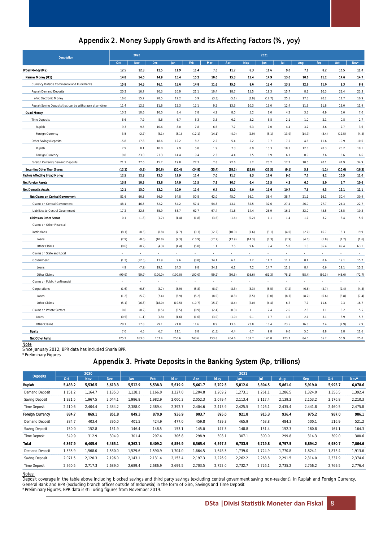## Appendix 2. Money Supply Growth and its Affecting Factors (%, yoy)

| 2020<br>2021<br><b>Description</b>                      |        |        |            |         |         |        |        |         |        |        |        |        |        |         |
|---------------------------------------------------------|--------|--------|------------|---------|---------|--------|--------|---------|--------|--------|--------|--------|--------|---------|
|                                                         | Oct    | Nov    | <b>Dec</b> | Jan     | Feb     | Mar    | Apr    | May     | Jun.   | Jul    | Aug    | Sep    | Oct    | Nov*    |
| Broad Money (M2)                                        | 12.5   | 12.3   | 12.5       | 11.9    | 11.4    | 7.0    | 11.7   | 8.3     | 11.6   | 9.0    | 7.1    | 8.2    | 10.5   | 11.0    |
| Narrow Money (M1)                                       | 14.8   | 14.0   | 14.9       | 15.4    | 15.2    | 10.0   | 15.3   | 11.4    | 14.9   | 13.6   | 10.6   | 11.2   | 14.6   | 14.7    |
| Currency Outside Commercial and Rural Banks             | 15.8   | 14.5   | 16.1       | 15.6    | 14.8    | 11.6   | 15.5   | 8.6     | 13.4   | 13.5   | 12.6   | 11.0   | 8.3    | $8.8\,$ |
| <b>Rupiah Demand Deposits</b>                           | 20.3   | 16.7   | 20.3       | 20.9    | 21.1    | 10.4   | 18.7   | 15.5    | 19.3   | 15.7   | 8.1    | 10.3   | 21.4   | 23.3    |
| o/w: Electronic Money                                   | 16.6   | 15.7   | 28.5       | 12.2    | 5.9     | (3.3)  | (5.1)  | (8.9)   | (12.7) | 25.5   | 17.3   | 20.2   | 11.7   | 10.9    |
| Rupiah Saving Deposits that can be withdrawn at anytime | 11.4   | 12.2   | 11.6       | 12.3    | 12.1    | 9.2    | 13.3   | 10.3    | 13.0   | 12.4   | 11.5   | 11.8   | 13.0   | 11.9    |
| Quasi Money                                             | 10.3   | 10.6   | 10.0       | 8.4     | 7.8     | 4.2    | 8.0    | 5.2     | 8.0    | 4.2    | 3.3    | 4.9    | 6.0    | 7.0     |
| <b>Time Deposits</b>                                    | 8.6    | 7.9    | 8.6        | 6.7     | 5.3     | 3.8    | 6.2    | 5.2     | 5.8    | 2.1    | 1.0    | 2.1    | 0.8    | 2.7     |
| Rupiah                                                  | 9.3    | 9.5    | 10.6       | 8.0     | 7.8     | 6.6    | 7.7    | 6.3     | 7.0    | 4.4    | 3.2    | 3.6    | 2.7    | 3.6     |
| Foreign Currency                                        | 3.5    | (2.7)  | (5.1)      | (3.1)   | (12.1)  | (14.1) | (4.9)  | (2.9)   | (3.1)  | (13.9) | (14.7) | (8.4)  | (12.5) | (4.4)   |
| Other Savings Deposits                                  | 15.8   | 17.8   | 18.6       | 12.2    | 8.2     | 2.2    | 5.4    | 5.2     | 9.7    | 7.5    | 4.6    | 11.6   | 10.9   | 10.6    |
| Rupiah                                                  | 7.9    | 8.1    | 10.0       | 7.9     | 5.8     | 1.9    | 7.3    | 8.9     | 15.3   | 10.3   | 12.6   | 20.3   | 20.2   | 19.1    |
| Foreign Currency                                        | 19.8   | 23.0   | 23.3       | 14.4    | 9.4     | 2.3    | 4.4    | $3.5\,$ | 6.9    | 6.1    | 0.9    | 7.6    | 6.6    | 6.6     |
| Foreign Currency Demand Deposits                        | 21.1   | 27.6   | 15.7       | 19.8    | 27.3    | 7.8    | 22.6   | 5.2     | 23.2   | 17.2   | 18.5   | 20.1   | 41.9   | 34.9    |
| Securities Other Than Shares                            | (12.1) | (5.8)  | (10.6)     | (20.4)  | (24.8)  | (35.4) | (28.2) | (25.6)  | (21.5) | (9.1)  | 5.8    | (1.2)  | (10.6) | (16.3)  |
| <b>Factors Affecting Broad Money</b>                    | 12.5   | 12.3   | 12.5       | 11.9    | 11.4    | 7.0    | 11.7   | 8.3     | 11.6   | 9.0    | 7.1    | 8.2    | 10.5   | 11.0    |
| Net Foreign Assets                                      | 13.9   | 10.3   | 13.6       | 14.9    | 11.5    | 7.9    | 10.7   | 6.4     | 11.5   | 4.3    | 6.0    | 5.0    | 5.7    | 10.6    |
| Net Domestic Assets                                     | 12.1   | 13.0   | 12.2       | 10.9    | 11.4    | 6.7    | 12.0   | 9.0     | 11.6   | 10.7   | 7.5    | 9.3    | 12.1   | 11.1    |
| Net Claims on Central Government                        | 81.6   | 66.5   | 66.9       | 54.8    | 50.8    | 42.0   | 45.0   | 56.1    | 38.4   | 38.7   | 21.1   | 16.1   | 30.4   | 30.4    |
| Claims on Central Government                            | 48.1   | 46.5   | 52.2       | 54.2    | 57.4    | 54.8   | 43.1   | 32.5    | 32.6   | 27.4   | 26.0   | 27.7   | 24.3   | 22.7    |
| Liabilities to Central Government                       | 17.2   | 22.6   | 35.9       | 53.7    | 62.7    | 67.4   | 41.8   | 14.4    | 26.9   | 16.2   | 32.0   | 45.5   | 15.5   | 10.3    |
| Claims on Other Sector                                  | 0.1    | (1.3)  | (1.7)      | (1.4)   | (1.8)   | (3.6)  | (1.6)  | (0.2)   | 1.1    | 1.4    | 1.7    | 3.2    | 3.4    | 5.6     |
| Claims on Other Financial                               |        |        |            |         |         |        |        |         |        |        |        |        |        |         |
| institutions:                                           | (8.1)  | (8.5)  | (8.8)      | (7.7)   | (9.3)   | (12.2) | (10.9) | (7.6)   | (3.1)  | (4.0)  | (2.7)  | 16.7   | 15.3   | 19.9    |
| Loans                                                   | (7.9)  | (8.6)  | (10.8)     | (9.3)   | (10.9)  | (17.2) | (17.9) | (14.3)  | (8.3)  | (7.9)  | (4.6)  | (1.8)  | (1.7)  | (1.6)   |
| Other Claims                                            | (8.6)  | (8.2)  | (4.3)      | (4.4)   | (5.8)   | 1.1    | 7.5    | 9.6     | 9.4    | 5.0    | 1.3    | 56.4   | 49.4   | 63.1    |
| Claims on State and Local                               |        | ÷      | à.         | ä,      | i,      |        |        |         |        | ×      |        | ÷,     | $\sim$ | $\sim$  |
| Government:                                             | (1.2)  | (12.5) | 13.9       | 9.6     | (3.8)   | 34.1   | 6.1    | $7.2\,$ | 14.7   | 11.1   | 8.4    | 0.6    | 19.1   | 15.2    |
| Loans                                                   | 4.9    | (7.9)  | 19.1       | 24.3    | 9.8     | 34.1   | 6.1    | 7.2     | 14.7   | 11.1   | 8.4    | 0.6    | 19.1   | 15.2    |
| Other Claims                                            | (99.9) | (99.9) | (100.0)    | (100.0) | (100.0) | (99.2) | (80.3) | (95.6)  | (81.3) | (78.1) | (68.4) | (60.3) | (45.6) | (72.7)  |
| Claims on Public NonFinancial                           |        |        |            |         |         |        |        |         | ÷      | ÷      | à.     | ł,     | à.     | $\sim$  |
| Corporations:                                           | (1.6)  | (6.5)  | (8.7)      | (5.9)   | (5.8)   | (8.9)  | (8.3)  | (8.3)   | (8.5)  | (7.2)  | (6.6)  | (4.7)  | (2.4)  | (4.8)   |
| Loans                                                   | (1.2)  | (5.2)  | (7.4)      | (3.9)   | (5.2)   | (8.0)  | (8.3)  | (8.5)   | (9.0)  | (8.7)  | (8.2)  | (6.6)  | (3.8)  | (7.4)   |
| Other Claims                                            | (5.1)  | (16.3) | (18.0)     | (19.5)  | (10.7)  | (15.7) | (8.4)  | (7.0)   | (4.4)  | 6.7    | 7.7    | 11.6   | 9.3    | 16.7    |
| Claims on Private Sectors                               | 0.8    | (0.2)  | (0.5)      | (0.5)   | (0.9)   | (2.4)  | (0.3)  | 1.1     | 2.4    | 2.6    | 2.8    | 3.1    | 3.2    | 5.5     |
| Loans                                                   | (0.5)  | (1.1)  | (1.8)      | (1.6)   | (1.6)   | (3.0)  | (1.0)  | 0.1     | 1.7    | 1.6    | 2.1    | 3.1    | 3.9    | 5.7     |
| Other Claims                                            | 28.1   | 17.8   | 29.1       | 21.0    | 11.6    | 8.9    | 13.6   | 23.8    | 16.4   | 23.5   | 16.8   | 2.4    | (7.9)  | 2.9     |
| Equity                                                  | 7.0    | 4.5    | 6.7        | 11.1    | 8.8     | (1.3)  | 4.4    | 6.7     | 9.8    | 6.0    | 5.0    | 8.8    | 8.8    | 11.6    |
| Net Other Items                                         | 125.2  | 163.0  | 157.4      | 250.6   | 243.6   | 153.8  | 204.6  | 131.7   | 140.8  | 123.7  | 84.0   | 65.7   | 50.9   | 25.0    |

**Note** 

\*Preliminary Figures

Since January 2012, BPR data has included Sharia BPR

## Appendix 3. Private Deposits in the Banking System (Rp, trillions)

| <b>Deposits</b>         |         | 2020       |         |         |         |         |         |         | 2021    |         |         |         |         |         |
|-------------------------|---------|------------|---------|---------|---------|---------|---------|---------|---------|---------|---------|---------|---------|---------|
|                         | Oct     | <b>Nov</b> | Dec     | Jan     | Feb     | Mar     | Apr     | May     | Jun.    | Jul     | Aug     | Sep     | Oct     | Nov*    |
| Ruplan                  | 5,483.2 | 5,536.5    | 5,613.3 | 5,512.9 | 5,538.3 | 5,619.9 | 5,661.7 | 5,702.5 | 5,812.0 | 5,804.5 | 5,861.0 | 5,919.0 | 5,993.7 | 6,078.6 |
| Demand Deposit          | 1,151.2 | 1,164.7    | 1.185.0 | 1,128.1 | 1,166.0 | .227.0  | ,204.8  | 209.2   | 1.273.1 | 1,261.1 | 1,286.5 | 1,324.0 | 1,356.5 | 1,392.4 |
| Saving Deposit          | 1,921.5 | 1,967.5    | 2.044.1 | 1.996.8 | 1,982.9 | 2.000.3 | 2,052.3 | 2,079.4 | 2.113.4 | 2.117.4 | 2,139.2 | 2,153.2 | 2.176.8 | 2,210.3 |
| <b>Time Deposit</b>     | 2,410.6 | 2,404.4    | 2,384.2 | 2,388.0 | 2,389.4 | 2,392.7 | 2,404.6 | 2,413.9 | 2,425.5 | 2,426.1 | 2,435.4 | 2,441.8 | 2,460.5 | 2,475.8 |
| <b>Foreign Currency</b> | 884.7   | 869.1      | 851.8   | 849.3   | 870.9   | 936.9   | 903.7   | 895.0   | 921.8   | 915.3   | 936.4   | 975.2   | 987.0   | 986.1   |
| Demand Deposit          | 384.7   | 403.4      | 395.0   | 401.5   | 424.9   | 477.0   | 459.8   | 439.3   | 465.9   | 463.8   | 484.3   | 500.1   | 516.9   | 521.2   |
| Saving Deposit          | 150.0   | 152.8      | 151.9   | 146.4   | 148.5   | 153.1   | 145.0   | 147.5   | 148.8   | 151.4   | 152.3   | 160.8   | 161.1   | 164.3   |
| Time Deposit            | 349.9   | 312.9      | 304.9   | 301.4   | 297.4   | 306.8   | 298.9   | 308.1   | 307.1   | 300.0   | 299.8   | 314.3   | 309.0   | 300.6   |
| Total                   | 6,367.9 | 6,405.6    | 6,465.1 | 6,362.1 | 6,409.2 | 6,556.9 | 6,565.4 | 6,597.5 | 6,733.9 | 6,719.8 | 6.797.5 | 6,894.2 | 6,980.7 | 7,064.6 |
| Demand Deposit          | 1,535.9 | 1.568.0    | .580.0  | 1.529.6 | 1.590.9 | .704.0  | .664.5  | 1,648.5 | 1.739.0 | 1.724.9 | 1.770.8 | 1.824.1 | 1.873.4 | 1,913.6 |
| Saving Deposit          | 2,071.5 | 2,120.3    | 2.196.0 | 2.143.1 | 2,131.4 | 2,153.4 | 2.197.3 | 2,226.9 | 2,262.2 | 2,268.8 | 2,291.5 | 2,314.0 | 2,337.9 | 2,374.6 |
| <b>Time Deposit</b>     | 2,760.5 | 2,717.3    | 2,689.0 | 2,689.4 | 2,686.9 | 2,699.5 | 2,703.5 | 2,722.0 | 2,732.7 | 2,726.1 | 2,735.2 | 2,756.2 | 2,769.5 | 2,776.4 |

Notes:

Deposit coverage in the table above including blocked savings and third party savings (excluding central government saving non-resident), in Rupiah and Foreign Currency, General Bank and BPR (excluding branch offices outside of Indonesia) in the form of Giro, Savings and Time Deposit.

\*Preliminary Figures, BPR data is still using figures from November 2019.